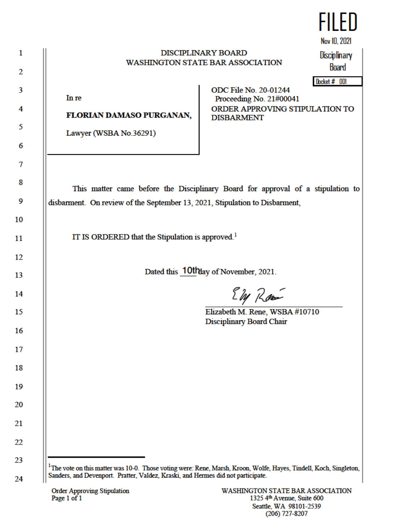|                                                                                                                               |                                                                      | FILED                        |
|-------------------------------------------------------------------------------------------------------------------------------|----------------------------------------------------------------------|------------------------------|
|                                                                                                                               |                                                                      | Nov 10, 2021                 |
|                                                                                                                               | <b>DISCIPLINARY BOARD</b><br><b>WASHINGTON STATE BAR ASSOCIATION</b> | <b>Disciplinary</b><br>Board |
|                                                                                                                               | <b>ODC File No. 20-01244</b>                                         | Docket # 001                 |
| In re                                                                                                                         | Proceeding No. 21#00041                                              |                              |
| FLORIAN DAMASO PURGANAN,                                                                                                      | ORDER APPROVING STIPULATION TO<br><b>DISBARMENT</b>                  |                              |
| Lawyer (WSBA No.36291)                                                                                                        |                                                                      |                              |
|                                                                                                                               |                                                                      |                              |
|                                                                                                                               |                                                                      |                              |
| This matter came before the Disciplinary Board for approval of a stipulation to                                               |                                                                      |                              |
| disbarment. On review of the September 13, 2021, Stipulation to Disbarment,                                                   |                                                                      |                              |
|                                                                                                                               |                                                                      |                              |
| IT IS ORDERED that the Stipulation is approved. <sup>1</sup>                                                                  |                                                                      |                              |
|                                                                                                                               |                                                                      |                              |
|                                                                                                                               | Dated this 10thay of November, 2021.                                 |                              |
|                                                                                                                               | Eby Ram                                                              |                              |
|                                                                                                                               | Elizabeth M. Rene, WSBA #10710                                       |                              |
|                                                                                                                               | Disciplinary Board Chair                                             |                              |
|                                                                                                                               |                                                                      |                              |
|                                                                                                                               |                                                                      |                              |
|                                                                                                                               |                                                                      |                              |
|                                                                                                                               |                                                                      |                              |
|                                                                                                                               |                                                                      |                              |
|                                                                                                                               |                                                                      |                              |
|                                                                                                                               |                                                                      |                              |
|                                                                                                                               |                                                                      |                              |
| <sup>1</sup> The vote on this matter was 10-0. Those voting were: Rene, Marsh, Kroon, Wolfe, Hayes, Tindell, Koch, Singleton, |                                                                      |                              |
| Sanders, and Devenport. Pratter, Valdez, Kraski, and Hermes did not participate.                                              |                                                                      |                              |